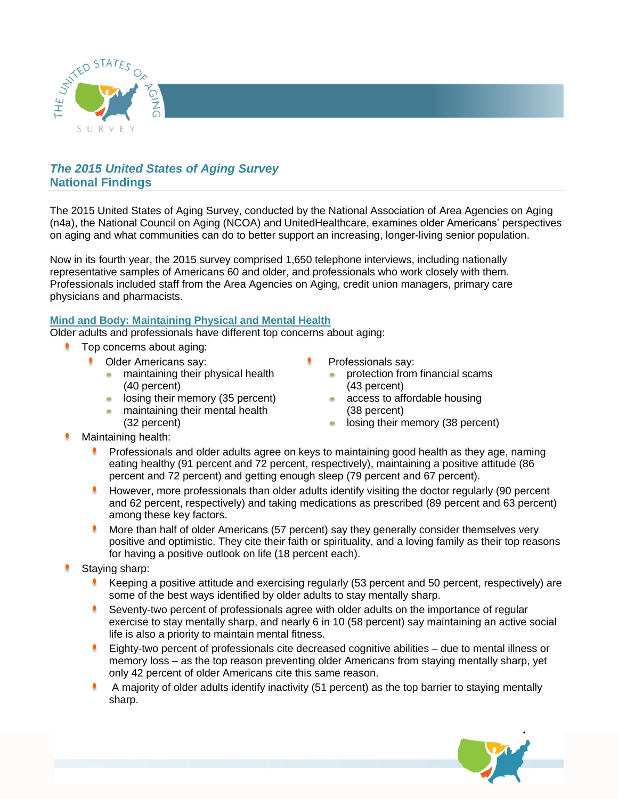

# *The 2015 United States of Aging Survey* **National Findings**

The 2015 United States of Aging Survey, conducted by the National Association of Area Agencies on Aging (n4a), the National Council on Aging (NCOA) and UnitedHealthcare, examines older Americans' perspectives on aging and what communities can do to better support an increasing, longer-living senior population.

Now in its fourth year, the 2015 survey comprised 1,650 telephone interviews, including nationally representative samples of Americans 60 and older, and professionals who work closely with them. Professionals included staff from the Area Agencies on Aging, credit union managers, primary care physicians and pharmacists.

# **Mind and Body: Maintaining Physical and Mental Health**

Older adults and professionals have different top concerns about aging:

- **Top concerns about aging:** 
	- **Older Americans say:** 
		- maintaining their physical health  $\bullet$ (40 percent)
		- **In losing their memory (35 percent)** maintaining their mental health
		- (32 percent)
- Professionals say:
	- protection from financial scams (43 percent)
	- access to affordable housing (38 percent)
	- losing their memory (38 percent)

 $\overline{a}$ 

- Maintaining health:
	- **Professionals and older adults agree on keys to maintaining good health as they age, naming** eating healthy (91 percent and 72 percent, respectively), maintaining a positive attitude (86 percent and 72 percent) and getting enough sleep (79 percent and 67 percent).
	- **However, more professionals than older adults identify visiting the doctor regularly (90 percent** and 62 percent, respectively) and taking medications as prescribed (89 percent and 63 percent) among these key factors.
	- More than half of older Americans (57 percent) say they generally consider themselves very positive and optimistic. They cite their faith or spirituality, and a loving family as their top reasons for having a positive outlook on life (18 percent each).
- Staying sharp:
	- **EXECT** Keeping a positive attitude and exercising regularly (53 percent and 50 percent, respectively) are some of the best ways identified by older adults to stay mentally sharp.
	- Seventy-two percent of professionals agree with older adults on the importance of regular exercise to stay mentally sharp, and nearly 6 in 10 (58 percent) say maintaining an active social life is also a priority to maintain mental fitness.
	- **Eighty-two percent of professionals cite decreased cognitive abilities due to mental illness or** memory loss – as the top reason preventing older Americans from staying mentally sharp, yet only 42 percent of older Americans cite this same reason.
	- A majority of older adults identify inactivity (51 percent) as the top barrier to staying mentally sharp.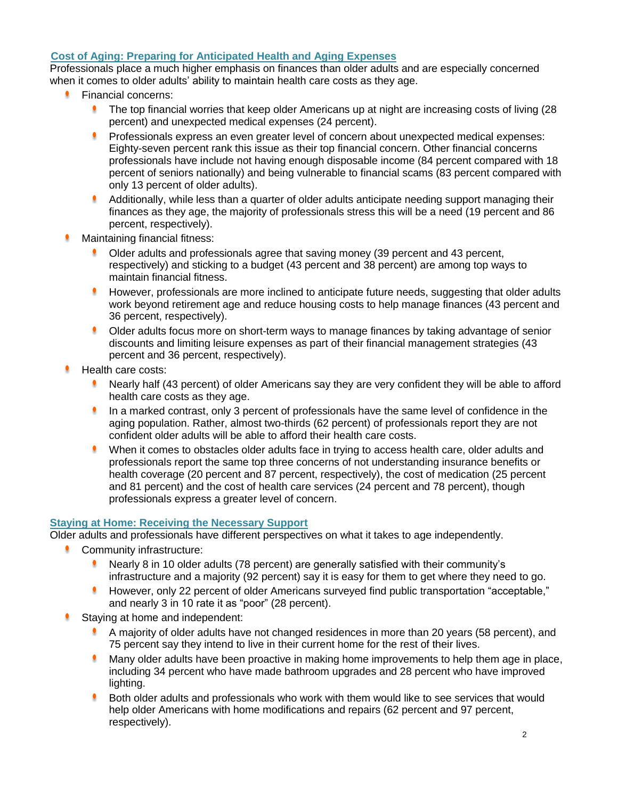# **Cost of Aging: Preparing for Anticipated Health and Aging Expenses**

Professionals place a much higher emphasis on finances than older adults and are especially concerned when it comes to older adults' ability to maintain health care costs as they age.

- Financial concerns:
	- The top financial worries that keep older Americans up at night are increasing costs of living (28 percent) and unexpected medical expenses (24 percent).
	- Professionals express an even greater level of concern about unexpected medical expenses: Eighty-seven percent rank this issue as their top financial concern. Other financial concerns professionals have include not having enough disposable income (84 percent compared with 18 percent of seniors nationally) and being vulnerable to financial scams (83 percent compared with only 13 percent of older adults).
	- Additionally, while less than a quarter of older adults anticipate needing support managing their finances as they age, the majority of professionals stress this will be a need (19 percent and 86 percent, respectively).
- Maintaining financial fitness:
	- Older adults and professionals agree that saving money (39 percent and 43 percent, respectively) and sticking to a budget (43 percent and 38 percent) are among top ways to maintain financial fitness.
	- **I** However, professionals are more inclined to anticipate future needs, suggesting that older adults work beyond retirement age and reduce housing costs to help manage finances (43 percent and 36 percent, respectively).
	- Older adults focus more on short-term ways to manage finances by taking advantage of senior discounts and limiting leisure expenses as part of their financial management strategies (43 percent and 36 percent, respectively).
- Health care costs:
	- Nearly half (43 percent) of older Americans say they are very confident they will be able to afford health care costs as they age.
	- In a marked contrast, only 3 percent of professionals have the same level of confidence in the aging population. Rather, almost two-thirds (62 percent) of professionals report they are not confident older adults will be able to afford their health care costs.
	- **When it comes to obstacles older adults face in trying to access health care, older adults and** professionals report the same top three concerns of not understanding insurance benefits or health coverage (20 percent and 87 percent, respectively), the cost of medication (25 percent and 81 percent) and the cost of health care services (24 percent and 78 percent), though professionals express a greater level of concern.

# **Staying at Home: Receiving the Necessary Support**

Older adults and professionals have different perspectives on what it takes to age independently.

- $\bullet$ Community infrastructure:
	- Nearly 8 in 10 older adults (78 percent) are generally satisfied with their community's infrastructure and a majority (92 percent) say it is easy for them to get where they need to go.
	- However, only 22 percent of older Americans surveyed find public transportation "acceptable," and nearly 3 in 10 rate it as "poor" (28 percent).
- Staying at home and independent:
	- A majority of older adults have not changed residences in more than 20 years (58 percent), and 75 percent say they intend to live in their current home for the rest of their lives.
	- Many older adults have been proactive in making home improvements to help them age in place, including 34 percent who have made bathroom upgrades and 28 percent who have improved lighting.
	- Both older adults and professionals who work with them would like to see services that would help older Americans with home modifications and repairs (62 percent and 97 percent, respectively).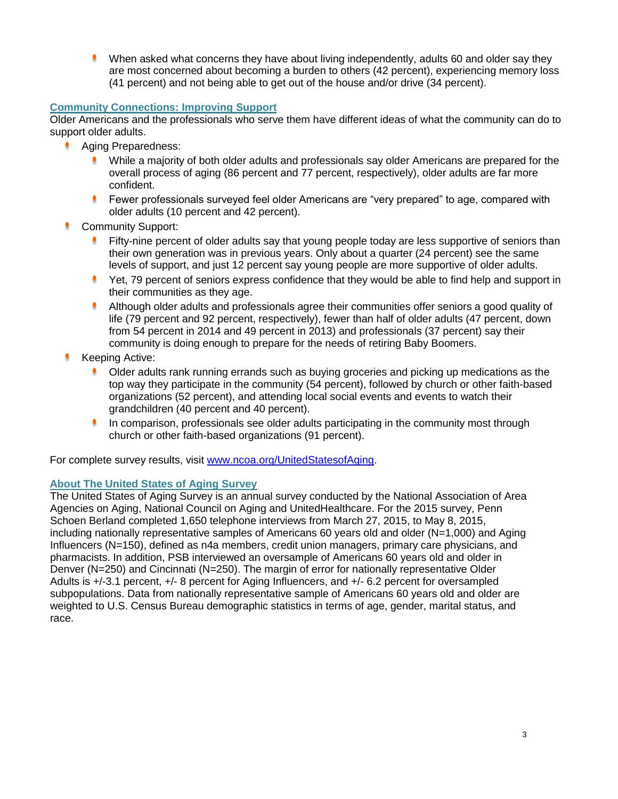When asked what concerns they have about living independently, adults 60 and older say they are most concerned about becoming a burden to others (42 percent), experiencing memory loss (41 percent) and not being able to get out of the house and/or drive (34 percent).

# **Community Connections: Improving Support**

Older Americans and the professionals who serve them have different ideas of what the community can do to support older adults.

- Aging Preparedness:
	- While a majority of both older adults and professionals say older Americans are prepared for the overall process of aging (86 percent and 77 percent, respectively), older adults are far more confident.
	- Fewer professionals surveyed feel older Americans are "very prepared" to age, compared with older adults (10 percent and 42 percent).
- Community Support:
	- **Fifty-nine percent of older adults say that young people today are less supportive of seniors than** their own generation was in previous years. Only about a quarter (24 percent) see the same levels of support, and just 12 percent say young people are more supportive of older adults.
	- **P** Yet, 79 percent of seniors express confidence that they would be able to find help and support in their communities as they age.
	- **Although older adults and professionals agree their communities offer seniors a good quality of** life (79 percent and 92 percent, respectively), fewer than half of older adults (47 percent, down from 54 percent in 2014 and 49 percent in 2013) and professionals (37 percent) say their community is doing enough to prepare for the needs of retiring Baby Boomers.
- Keeping Active:
	- Older adults rank running errands such as buying groceries and picking up medications as the top way they participate in the community (54 percent), followed by church or other faith-based organizations (52 percent), and attending local social events and events to watch their grandchildren (40 percent and 40 percent).
	- In comparison, professionals see older adults participating in the community most through church or other faith-based organizations (91 percent).

For complete survey results, visit [www.ncoa.org/UnitedStatesofAging.](http://www.ncoa.org/UnitedStatesofAging)

# **About The United States of Aging Survey**

The United States of Aging Survey is an annual survey conducted by the National Association of Area Agencies on Aging, National Council on Aging and UnitedHealthcare. For the 2015 survey, Penn Schoen Berland completed 1,650 telephone interviews from March 27, 2015, to May 8, 2015, including nationally representative samples of Americans 60 years old and older (N=1,000) and Aging Influencers (N=150), defined as n4a members, credit union managers, primary care physicians, and pharmacists. In addition, PSB interviewed an oversample of Americans 60 years old and older in Denver (N=250) and Cincinnati (N=250). The margin of error for nationally representative Older Adults is +/-3.1 percent, +/- 8 percent for Aging Influencers, and +/- 6.2 percent for oversampled subpopulations. Data from nationally representative sample of Americans 60 years old and older are weighted to U.S. Census Bureau demographic statistics in terms of age, gender, marital status, and race.